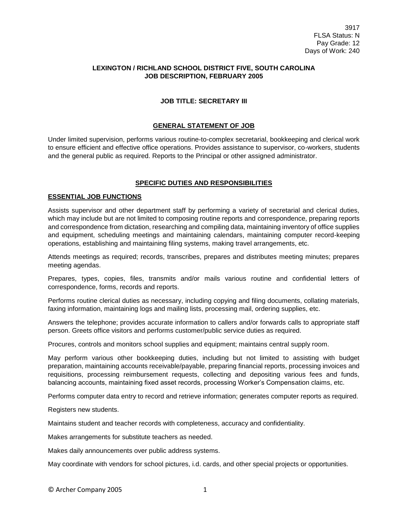## **LEXINGTON / RICHLAND SCHOOL DISTRICT FIVE, SOUTH CAROLINA JOB DESCRIPTION, FEBRUARY 2005**

## **JOB TITLE: SECRETARY III**

## **GENERAL STATEMENT OF JOB**

Under limited supervision, performs various routine-to-complex secretarial, bookkeeping and clerical work to ensure efficient and effective office operations. Provides assistance to supervisor, co-workers, students and the general public as required. Reports to the Principal or other assigned administrator.

# **SPECIFIC DUTIES AND RESPONSIBILITIES**

#### **ESSENTIAL JOB FUNCTIONS**

Assists supervisor and other department staff by performing a variety of secretarial and clerical duties, which may include but are not limited to composing routine reports and correspondence, preparing reports and correspondence from dictation, researching and compiling data, maintaining inventory of office supplies and equipment, scheduling meetings and maintaining calendars, maintaining computer record-keeping operations, establishing and maintaining filing systems, making travel arrangements, etc.

Attends meetings as required; records, transcribes, prepares and distributes meeting minutes; prepares meeting agendas.

Prepares, types, copies, files, transmits and/or mails various routine and confidential letters of correspondence, forms, records and reports.

Performs routine clerical duties as necessary, including copying and filing documents, collating materials, faxing information, maintaining logs and mailing lists, processing mail, ordering supplies, etc.

Answers the telephone; provides accurate information to callers and/or forwards calls to appropriate staff person. Greets office visitors and performs customer/public service duties as required.

Procures, controls and monitors school supplies and equipment; maintains central supply room.

May perform various other bookkeeping duties, including but not limited to assisting with budget preparation, maintaining accounts receivable/payable, preparing financial reports, processing invoices and requisitions, processing reimbursement requests, collecting and depositing various fees and funds, balancing accounts, maintaining fixed asset records, processing Worker's Compensation claims, etc.

Performs computer data entry to record and retrieve information; generates computer reports as required.

Registers new students.

Maintains student and teacher records with completeness, accuracy and confidentiality.

Makes arrangements for substitute teachers as needed.

Makes daily announcements over public address systems.

May coordinate with vendors for school pictures, i.d. cards, and other special projects or opportunities.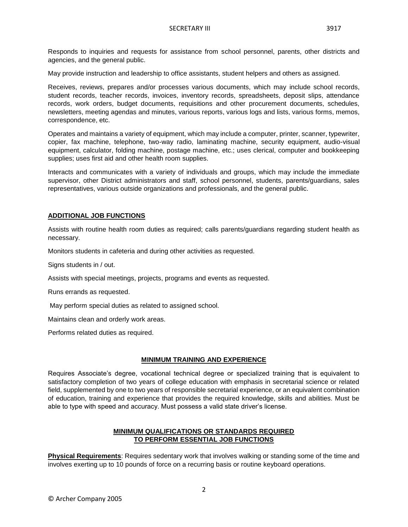Responds to inquiries and requests for assistance from school personnel, parents, other districts and agencies, and the general public.

May provide instruction and leadership to office assistants, student helpers and others as assigned.

Receives, reviews, prepares and/or processes various documents, which may include school records, student records, teacher records, invoices, inventory records, spreadsheets, deposit slips, attendance records, work orders, budget documents, requisitions and other procurement documents, schedules, newsletters, meeting agendas and minutes, various reports, various logs and lists, various forms, memos, correspondence, etc.

Operates and maintains a variety of equipment, which may include a computer, printer, scanner, typewriter, copier, fax machine, telephone, two-way radio, laminating machine, security equipment, audio-visual equipment, calculator, folding machine, postage machine, etc.; uses clerical, computer and bookkeeping supplies; uses first aid and other health room supplies.

Interacts and communicates with a variety of individuals and groups, which may include the immediate supervisor, other District administrators and staff, school personnel, students, parents/guardians, sales representatives, various outside organizations and professionals, and the general public.

## **ADDITIONAL JOB FUNCTIONS**

Assists with routine health room duties as required; calls parents/guardians regarding student health as necessary.

Monitors students in cafeteria and during other activities as requested.

Signs students in / out.

Assists with special meetings, projects, programs and events as requested.

Runs errands as requested.

May perform special duties as related to assigned school.

Maintains clean and orderly work areas.

Performs related duties as required.

### **MINIMUM TRAINING AND EXPERIENCE**

Requires Associate's degree, vocational technical degree or specialized training that is equivalent to satisfactory completion of two years of college education with emphasis in secretarial science or related field, supplemented by one to two years of responsible secretarial experience, or an equivalent combination of education, training and experience that provides the required knowledge, skills and abilities. Must be able to type with speed and accuracy. Must possess a valid state driver's license.

## **MINIMUM QUALIFICATIONS OR STANDARDS REQUIRED TO PERFORM ESSENTIAL JOB FUNCTIONS**

**Physical Requirements**: Requires sedentary work that involves walking or standing some of the time and involves exerting up to 10 pounds of force on a recurring basis or routine keyboard operations.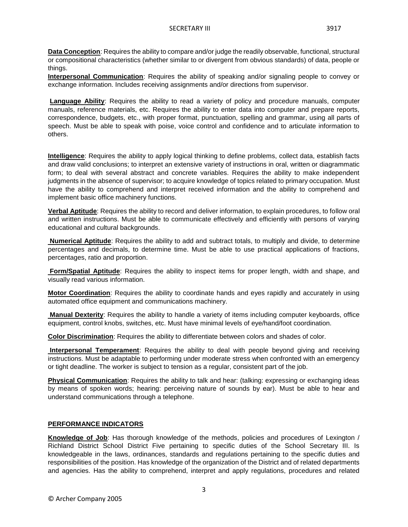**Data Conception**: Requires the ability to compare and/or judge the readily observable, functional, structural or compositional characteristics (whether similar to or divergent from obvious standards) of data, people or things.

**Interpersonal Communication**: Requires the ability of speaking and/or signaling people to convey or exchange information. Includes receiving assignments and/or directions from supervisor.

**Language Ability**: Requires the ability to read a variety of policy and procedure manuals, computer manuals, reference materials, etc. Requires the ability to enter data into computer and prepare reports, correspondence, budgets, etc., with proper format, punctuation, spelling and grammar, using all parts of speech. Must be able to speak with poise, voice control and confidence and to articulate information to others.

**Intelligence**: Requires the ability to apply logical thinking to define problems, collect data, establish facts and draw valid conclusions; to interpret an extensive variety of instructions in oral, written or diagrammatic form; to deal with several abstract and concrete variables. Requires the ability to make independent judgments in the absence of supervisor; to acquire knowledge of topics related to primary occupation. Must have the ability to comprehend and interpret received information and the ability to comprehend and implement basic office machinery functions.

**Verbal Aptitude**: Requires the ability to record and deliver information, to explain procedures, to follow oral and written instructions. Must be able to communicate effectively and efficiently with persons of varying educational and cultural backgrounds.

**Numerical Aptitude**: Requires the ability to add and subtract totals, to multiply and divide, to determine percentages and decimals, to determine time. Must be able to use practical applications of fractions, percentages, ratio and proportion.

**Form/Spatial Aptitude**: Requires the ability to inspect items for proper length, width and shape, and visually read various information.

**Motor Coordination**: Requires the ability to coordinate hands and eyes rapidly and accurately in using automated office equipment and communications machinery.

**Manual Dexterity**: Requires the ability to handle a variety of items including computer keyboards, office equipment, control knobs, switches, etc. Must have minimal levels of eye/hand/foot coordination.

**Color Discrimination**: Requires the ability to differentiate between colors and shades of color.

**Interpersonal Temperament**: Requires the ability to deal with people beyond giving and receiving instructions. Must be adaptable to performing under moderate stress when confronted with an emergency or tight deadline. The worker is subject to tension as a regular, consistent part of the job.

**Physical Communication**: Requires the ability to talk and hear: (talking: expressing or exchanging ideas by means of spoken words; hearing: perceiving nature of sounds by ear). Must be able to hear and understand communications through a telephone.

### **PERFORMANCE INDICATORS**

**Knowledge of Job**: Has thorough knowledge of the methods, policies and procedures of Lexington / Richland District School District Five pertaining to specific duties of the School Secretary III. Is knowledgeable in the laws, ordinances, standards and regulations pertaining to the specific duties and responsibilities of the position. Has knowledge of the organization of the District and of related departments and agencies. Has the ability to comprehend, interpret and apply regulations, procedures and related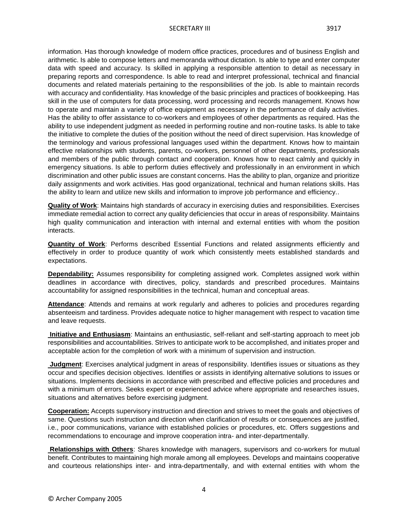information. Has thorough knowledge of modern office practices, procedures and of business English and arithmetic. Is able to compose letters and memoranda without dictation. Is able to type and enter computer data with speed and accuracy. Is skilled in applying a responsible attention to detail as necessary in preparing reports and correspondence. Is able to read and interpret professional, technical and financial documents and related materials pertaining to the responsibilities of the job. Is able to maintain records with accuracy and confidentiality. Has knowledge of the basic principles and practices of bookkeeping. Has skill in the use of computers for data processing, word processing and records management. Knows how to operate and maintain a variety of office equipment as necessary in the performance of daily activities. Has the ability to offer assistance to co-workers and employees of other departments as required. Has the ability to use independent judgment as needed in performing routine and non-routine tasks. Is able to take the initiative to complete the duties of the position without the need of direct supervision. Has knowledge of the terminology and various professional languages used within the department. Knows how to maintain effective relationships with students, parents, co-workers, personnel of other departments, professionals and members of the public through contact and cooperation. Knows how to react calmly and quickly in emergency situations. Is able to perform duties effectively and professionally in an environment in which discrimination and other public issues are constant concerns. Has the ability to plan, organize and prioritize daily assignments and work activities. Has good organizational, technical and human relations skills. Has the ability to learn and utilize new skills and information to improve job performance and efficiency..

**Quality of Work**: Maintains high standards of accuracy in exercising duties and responsibilities. Exercises immediate remedial action to correct any quality deficiencies that occur in areas of responsibility. Maintains high quality communication and interaction with internal and external entities with whom the position interacts.

**Quantity of Work**: Performs described Essential Functions and related assignments efficiently and effectively in order to produce quantity of work which consistently meets established standards and expectations.

**Dependability:** Assumes responsibility for completing assigned work. Completes assigned work within deadlines in accordance with directives, policy, standards and prescribed procedures. Maintains accountability for assigned responsibilities in the technical, human and conceptual areas.

**Attendance**: Attends and remains at work regularly and adheres to policies and procedures regarding absenteeism and tardiness. Provides adequate notice to higher management with respect to vacation time and leave requests.

**Initiative and Enthusiasm**: Maintains an enthusiastic, self-reliant and self-starting approach to meet job responsibilities and accountabilities. Strives to anticipate work to be accomplished, and initiates proper and acceptable action for the completion of work with a minimum of supervision and instruction.

**Judgment**: Exercises analytical judgment in areas of responsibility. Identifies issues or situations as they occur and specifies decision objectives. Identifies or assists in identifying alternative solutions to issues or situations. Implements decisions in accordance with prescribed and effective policies and procedures and with a minimum of errors. Seeks expert or experienced advice where appropriate and researches issues, situations and alternatives before exercising judgment.

**Cooperation:** Accepts supervisory instruction and direction and strives to meet the goals and objectives of same. Questions such instruction and direction when clarification of results or consequences are justified, i.e., poor communications, variance with established policies or procedures, etc. Offers suggestions and recommendations to encourage and improve cooperation intra- and inter-departmentally.

**Relationships with Others**: Shares knowledge with managers, supervisors and co-workers for mutual benefit. Contributes to maintaining high morale among all employees. Develops and maintains cooperative and courteous relationships inter- and intra-departmentally, and with external entities with whom the